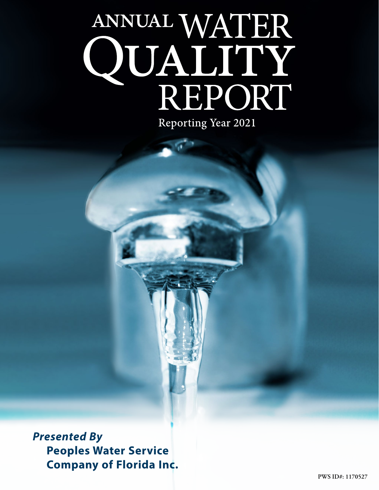# ANNUAL WATER<br>QUALITY<br>REPORT Reporting Year 2021

*Presented By* **Peoples Water Service Company of Florida Inc.**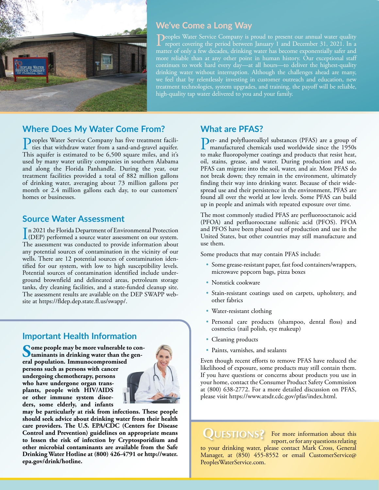

# **We've Come a Long Way**

**Deoples Water Service Company is proud to present our annual water quality** report covering the period between January 1 and December 31, 2021. In a matter of only a few decades, drinking water has become exponentially safer and more reliable than at any other point in human history. Our exceptional staff continues to work hard every day—at all hours—to deliver the highest-quality drinking water without interruption. Although the challenges ahead are many, we feel that by relentlessly investing in customer outreach and education, new treatment technologies, system upgrades, and training, the payoff will be reliable, high-quality tap water delivered to you and your family.

## **Where Does My Water Come From?**

Peoples Water Service Company has five treatment facilities that withdraw water from a sand-and-gravel aquifer. This aquifer is estimated to be 6,500 square miles, and it's used by many water utility companies in southern Alabama and along the Florida Panhandle. During the year, our treatment facilities provided a total of 882 million gallons of drinking water, averaging about 73 million gallons per month or 2.4 million gallons each day, to our customers' homes or businesses.

## **Source Water Assessment**

In 2021 the Florida Department of Environmental Protection<br>(DEP) performed a source water assessment on our system. (DEP) performed a source water assessment on our system. The assessment was conducted to provide information about any potential sources of contamination in the vicinity of our wells. There are 12 potential sources of contamination identified for our system, with low to high susceptibility levels. Potential sources of contamination identified include underground brownfield and delineated areas, petroleum storage tanks, dry cleaning facilities, and a state-funded cleanup site. The assessment results are available on the DEP SWAPP website at <https://fldep.dep.state.fl.us/swapp/>.

# **Important Health Information**

Some people may be more vulnerable to con-<br>
taminants in drinking water than the gen**eral population. Immunocompromised persons such as persons with cancer undergoing chemotherapy, persons who have undergone organ transplants, people with HIV/AIDS or other immune system disorders, some elderly, and infants** 



**may be particularly at risk from infections. These people should seek advice about drinking water from their health care providers. The U.S. EPA/CDC (Centers for Disease Control and Prevention) guidelines on appropriate means to lessen the risk of infection by Cryptosporidium and other microbial contaminants are available from the Safe Drinking Water Hotline at (800) 426-4791 or [http://water.](http://water.epa.gov/drink/hotline) [epa.gov/drink/hotline](http://water.epa.gov/drink/hotline).**

## **What are PFAS?**

Per- and polyfluoroalkyl substances (PFAS) are a group of manufactured chemicals used worldwide since the 1950s to make fluoropolymer coatings and products that resist heat, oil, stains, grease, and water. During production and use, PFAS can migrate into the soil, water, and air. Most PFAS do not break down; they remain in the environment, ultimately finding their way into drinking water. Because of their widespread use and their persistence in the environment, PFAS are found all over the world at low levels. Some PFAS can build up in people and animals with repeated exposure over time.

The most commonly studied PFAS are perfluorooctanoic acid (PFOA) and perfluorooctane sulfonic acid (PFOS). PFOA and PFOS have been phased out of production and use in the United States, but other countries may still manufacture and use them.

Some products that may contain PFAS include:

- Some grease-resistant paper, fast food containers/wrappers, microwave popcorn bags, pizza boxes
- Nonstick cookware
- Stain-resistant coatings used on carpets, upholstery, and other fabrics
- Water-resistant clothing
- Personal care products (shampoo, dental floss) and cosmetics (nail polish, eye makeup)
- Cleaning products
- Paints, varnishes, and sealants

Even though recent efforts to remove PFAS have reduced the likelihood of exposure, some products may still contain them. If you have questions or concerns about products you use in your home, contact the Consumer Product Safety Commission at (800) 638-2772. For a more detailed discussion on PFAS, please visit <https://www.atsdr.cdc.gov/pfas/index.html>.

**QUESTIONS?** For more information about this report, or for any questions relating to your drinking water, please contact Mark Cross, General Manager, at (850) 455-8552 or email [CustomerService@](mailto:CustomerService@PeoplesWaterService.com) [PeoplesWaterService.com.](mailto:CustomerService@PeoplesWaterService.com)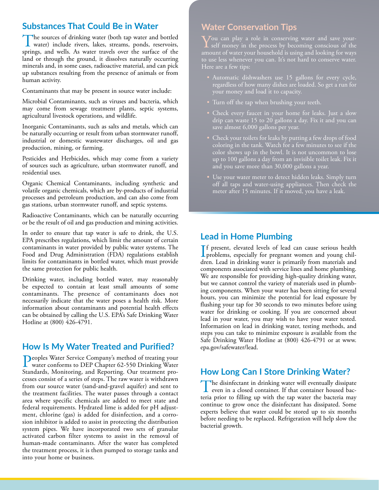## **Substances That Could Be in Water**

The sources of drinking water (both tap water and bottled water) include rivers, lakes, streams, ponds, reservoirs, springs, and wells. As water travels over the surface of the land or through the ground, it dissolves naturally occurring minerals and, in some cases, radioactive material, and can pick up substances resulting from the presence of animals or from human activity.

Contaminants that may be present in source water include:

Microbial Contaminants, such as viruses and bacteria, which may come from sewage treatment plants, septic systems, agricultural livestock operations, and wildlife.

Inorganic Contaminants, such as salts and metals, which can be naturally occurring or result from urban stormwater runoff, industrial or domestic wastewater discharges, oil and gas production, mining, or farming.

Pesticides and Herbicides, which may come from a variety of sources such as agriculture, urban stormwater runoff, and residential uses.

Organic Chemical Contaminants, including synthetic and volatile organic chemicals, which are by-products of industrial processes and petroleum production, and can also come from gas stations, urban stormwater runoff, and septic systems.

Radioactive Contaminants, which can be naturally occurring or be the result of oil and gas production and mining activities.

In order to ensure that tap water is safe to drink, the U.S. EPA prescribes regulations, which limit the amount of certain contaminants in water provided by public water systems. The Food and Drug Administration (FDA) regulations establish limits for contaminants in bottled water, which must provide the same protection for public health.

Drinking water, including bottled water, may reasonably be expected to contain at least small amounts of some contaminants. The presence of contaminants does not necessarily indicate that the water poses a health risk. More information about contaminants and potential health effects can be obtained by calling the U.S. EPA's Safe Drinking Water Hotline at (800) 426-4791.

# **How Is My Water Treated and Purified?**

Peoples Water Service Company's method of treating your<br>water conforms to DEP Chapter 62-550 Drinking Water<br>Step deals Magissine, and Beneating Our treatment are Standards, Monitoring, and Reporting. Our treatment processes consist of a series of steps. The raw water is withdrawn from our source water (sand-and-gravel aquifer) and sent to the treatment facilities. The water passes through a contact area where specific chemicals are added to meet state and federal requirements. Hydrated lime is added for pH adjustment, chlorine (gas) is added for disinfection, and a corrosion inhibitor is added to assist in protecting the distribution system pipes. We have incorporated two sets of granular activated carbon filter systems to assist in the removal of human-made contaminants. After the water has completed the treatment process, it is then pumped to storage tanks and into your home or business.

# **Water Conservation Tips**

You can play a role in conserving water and save your-<br>self money in the process by becoming conscious of the<br>same of the process because and later for the same amount of water your household is using and looking for ways Here are a few tips:

- Automatic dishwashers use 15 gallons for every cycle, regardless of how many dishes are loaded. So get a run for your money and load it to capacity.
- Turn off the tap when brushing your teeth.
- Check every faucet in your home for leaks. Just a slow drip can waste 15 to 20 gallons a day. Fix it and you can save almost 6,000 gallons per year.
- Check your toilets for leaks by putting a few drops of food coloring in the tank. Watch for a few minutes to see if the color shows up in the bowl. It is not uncommon to lose up to 100 gallons a day from an invisible toilet leak. Fix it and you save more than  $30,000$  gallons a year.
- Use your water meter to detect hidden leaks. Simply turn off all taps and water-using appliances. Then check the

# **Lead in Home Plumbing**

I problems, especially for pregnant women and young chilf present, elevated levels of lead can cause serious health dren. Lead in drinking water is primarily from materials and components associated with service lines and home plumbing. We are responsible for providing high-quality drinking water, but we cannot control the variety of materials used in plumbing components. When your water has been sitting for several hours, you can minimize the potential for lead exposure by flushing your tap for 30 seconds to two minutes before using water for drinking or cooking. If you are concerned about lead in your water, you may wish to have your water tested. Information on lead in drinking water, testing methods, and steps you can take to minimize exposure is available from the Safe Drinking Water Hotline at (800) 426-4791 or at [www.](http://www.epa.gov/safewater/lead) [epa.gov/safewater/lead.](http://www.epa.gov/safewater/lead)

# **How Long Can I Store Drinking Water?**

The disinfectant in drinking water will eventually dissipate even in a closed container. If that container housed bacteria prior to filling up with the tap water the bacteria may continue to grow once the disinfectant has dissipated. Some experts believe that water could be stored up to six months before needing to be replaced. Refrigeration will help slow the bacterial growth.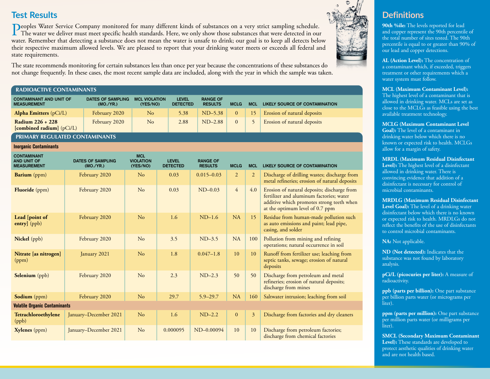# **Test Results**

Peoples Water Service Company monitored for many different kinds of substances on a very strict sampling schedule.<br>The water we deliver must meet specific health standards. Here, we only show those substances that were det water. Remember that detecting a substance does not mean the water is unsafe to drink; our goal is to keep all detects below their respective maximum allowed levels. We are pleased to report that your drinking water meets or exceeds all federal and state requirements.

The state recommends monitoring for certain substances less than once per year because the concentrations of these substances do not change frequently. In these cases, the most recent sample data are included, along with the year in which the sample was taken.

#### RADIOACTIVE CONTAMINANTS

| <b>CONTAMINANT AND UNIT OF</b><br><b>MEASUREMENT</b>    | <b>DATES OF SAMPLING</b><br>(MO./YR.) | <b>MCL VIOLATION</b><br>(YES/NO) | <b>LEVEL</b><br><b>DETECTED</b> | <b>RANGE OF</b><br><b>RESULTS</b> | <b>MCLG</b>    | <b>MCL</b>      | LIKELY SOURCE OF CONTAMINATION |
|---------------------------------------------------------|---------------------------------------|----------------------------------|---------------------------------|-----------------------------------|----------------|-----------------|--------------------------------|
| Alpha Emitters $(pCi/L)$                                | February 2020                         | No                               | 5.38                            | $ND-5.38$                         | $\overline{0}$ | 15 <sup>7</sup> | Erosion of natural deposits    |
| Radium 226 + 228<br>$[{\rm combined~radium}]$ $(pCi/L)$ | February 2020                         | No                               | 2.88                            | $ND-2.88$                         | $\Omega$       |                 | Erosion of natural deposits    |

#### PRIMARY REGULATED CONTAMINANTS

**Inorganic Contaminants**

| <b>CONTAMINANT</b><br><b>AND UNIT OF</b><br><b>MEASUREMENT</b> | <b>DATES OF SAMPLING</b><br>(MO./YR.) | <b>MCL</b><br><b>VIOLATION</b><br>(YES/NO) | <b>LEVEL</b><br><b>DETECTED</b> | <b>RANGE OF</b><br><b>RESULTS</b> | <b>MCLG</b>    | <b>MCL</b>     | LIKELY SOURCE OF CONTAMINATION                                                                                                                                          |
|----------------------------------------------------------------|---------------------------------------|--------------------------------------------|---------------------------------|-----------------------------------|----------------|----------------|-------------------------------------------------------------------------------------------------------------------------------------------------------------------------|
| <b>Barium</b> (ppm)                                            | February 2020                         | No                                         | 0.03                            | $0.015 - 0.03$                    | $\overline{2}$ | $\overline{2}$ | Discharge of drilling wastes; discharge from<br>metal refineries; erosion of natural deposits                                                                           |
| <b>Fluoride</b> (ppm)                                          | February 2020                         | No                                         | 0.03                            | $ND-0.03$                         | $\overline{4}$ | 4.0            | Erosion of natural deposits; discharge from<br>fertilizer and aluminum factories; water<br>additive which promotes strong teeth when<br>at the optimum level of 0.7 ppm |
| Lead [point of<br>entry] (ppb)                                 | February 2020                         | No                                         | 1.6                             | $ND-1.6$                          | <b>NA</b>      | 15             | Residue from human-made pollution such<br>as auto emissions and paint; lead pipe,<br>casing, and solder                                                                 |
| <b>Nickel</b> (ppb)                                            | February 2020                         | No                                         | 3.5                             | $ND-3.5$                          | <b>NA</b>      | 100            | Pollution from mining and refining<br>operations; natural occurrence in soil                                                                                            |
| Nitrate [as nitrogen]<br>(ppm)                                 | January 2021                          | N <sub>o</sub>                             | 1.8                             | $0.047 - 1.8$                     | 10             | 10             | Runoff from fertilizer use; leaching from<br>septic tanks, sewage; erosion of natural<br>deposits                                                                       |
| <b>Selenium</b> (ppb)                                          | February 2020                         | No                                         | 2.3                             | $ND-2.3$                          | 50             | 50             | Discharge from petroleum and metal<br>refineries; erosion of natural deposits;<br>discharge from mines                                                                  |
| <b>Sodium</b> (ppm)                                            | February 2020                         | N <sub>o</sub>                             | 29.7                            | $5.9 - 29.7$                      | <b>NA</b>      | 160            | Saltwater intrusion; leaching from soil                                                                                                                                 |
| <b>Volatile Organic Contaminants</b>                           |                                       |                                            |                                 |                                   |                |                |                                                                                                                                                                         |
| Tetrachloroethylene<br>(ppb)                                   | January-December 2021                 | No                                         | 1.6                             | $ND-2.2$                          | $\mathbf{0}$   | $\overline{3}$ | Discharge from factories and dry cleaners                                                                                                                               |
| Xylenes (ppm)                                                  | January-December 2021                 | No                                         | 0.000095                        | ND-0.00094                        | 10             | 10             | Discharge from petroleum factories;<br>discharge from chemical factories                                                                                                |



# **Definitions**

**90th %ile:** The levels reported for lead and copper represent the 90th percentile of the total number of sites tested. The 90th percentile is equal to or greater than 90% of our lead and copper detections.

**AL (Action Level):** The concentration of a contaminant which, if exceeded, triggers treatment or other requirements which a water system must follow.

### **MCL (Maximum Contaminant Level):**

The highest level of a contaminant that is allowed in drinking water. MCLs are set as close to the MCLGs as feasible using the best available treatment technology.

## **MCLG (Maximum Contaminant Level**

**Goal):** The level of a contaminant in drinking water below which there is no known or expected risk to health. MCLGs allow for a margin of safety.

### **MRDL (Maximum Residual Disinfectant**

**Level):** The highest level of a disinfectant allowed in drinking water. There is convincing evidence that addition of a disinfectant is necessary for control of microbial contaminants.

#### **MRDLG (Maximum Residual Disinfectant Level Goal):** The level of a drinking water

disinfectant below which there is no known or expected risk to health. MRDLGs do not reflect the benefits of the use of disinfectants to control microbial contaminants.

**NA:** Not applicable.

**ND (Not detected):** Indicates that the substance was not found by laboratory analysis.

**pCi/L (picocuries per liter):** A measure of radioactivity.

**ppb (parts per billion):** One part substance per billion parts water (or micrograms per liter).

**ppm (parts per million):** One part substance per million parts water (or milligrams per liter).

**SMCL (Secondary Maximum Contaminant Level):** These standards are developed to protect aesthetic qualities of drinking water and are not health based.